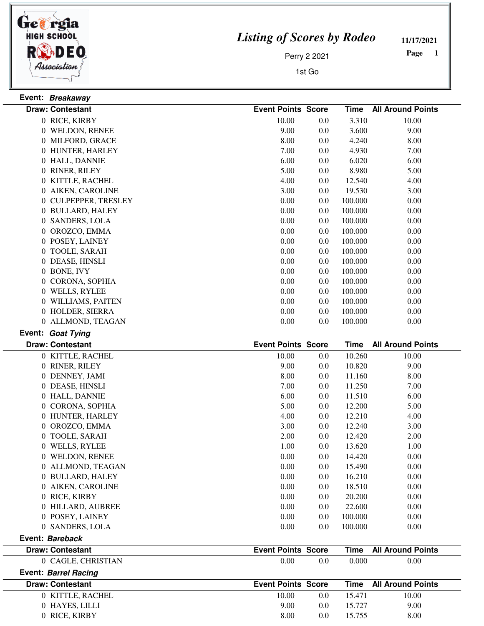

*Listing of Scores by Rodeo*

**11/17/2021**

 **Page** 

Perry 2 2021

1st Go

| Event: Breakaway            |                           |         |             |                          |
|-----------------------------|---------------------------|---------|-------------|--------------------------|
| <b>Draw: Contestant</b>     | <b>Event Points Score</b> |         | <b>Time</b> | <b>All Around Points</b> |
| 0 RICE, KIRBY               | 10.00                     | 0.0     | 3.310       | 10.00                    |
| 0 WELDON, RENEE             | 9.00                      | 0.0     | 3.600       | 9.00                     |
| 0 MILFORD, GRACE            | 8.00                      | 0.0     | 4.240       | 8.00                     |
| 0 HUNTER, HARLEY            | 7.00                      | 0.0     | 4.930       | 7.00                     |
| 0 HALL, DANNIE              | 6.00                      | 0.0     | 6.020       | 6.00                     |
| 0 RINER, RILEY              | 5.00                      | 0.0     | 8.980       | 5.00                     |
| 0 KITTLE, RACHEL            | 4.00                      | 0.0     | 12.540      | 4.00                     |
| 0 AIKEN, CAROLINE           | 3.00                      | 0.0     | 19.530      | 3.00                     |
| 0 CULPEPPER, TRESLEY        | 0.00                      | 0.0     | 100.000     | 0.00                     |
| 0 BULLARD, HALEY            | 0.00                      | 0.0     | 100.000     | 0.00                     |
| 0 SANDERS, LOLA             | 0.00                      | 0.0     | 100.000     | 0.00                     |
| 0 OROZCO, EMMA              | 0.00                      | 0.0     | 100.000     | 0.00                     |
| 0 POSEY, LAINEY             | 0.00                      | 0.0     | 100.000     | 0.00                     |
| 0 TOOLE, SARAH              | 0.00                      | 0.0     | 100.000     | 0.00                     |
| 0 DEASE, HINSLI             | 0.00                      | 0.0     | 100.000     | 0.00                     |
| 0 BONE, IVY                 | 0.00                      | 0.0     | 100.000     | 0.00                     |
| 0 CORONA, SOPHIA            | 0.00                      | 0.0     | 100.000     | 0.00                     |
| 0 WELLS, RYLEE              | 0.00                      | 0.0     | 100.000     | 0.00                     |
| 0 WILLIAMS, PAITEN          | 0.00                      | 0.0     | 100.000     | 0.00                     |
| 0 HOLDER, SIERRA            | 0.00                      | 0.0     | 100.000     | 0.00                     |
| 0 ALLMOND, TEAGAN           | 0.00                      | 0.0     | 100.000     | 0.00                     |
| Event: Goat Tying           |                           |         |             |                          |
| <b>Draw: Contestant</b>     | <b>Event Points Score</b> |         | <b>Time</b> | <b>All Around Points</b> |
| 0 KITTLE, RACHEL            | 10.00                     | 0.0     | 10.260      | 10.00                    |
| 0 RINER, RILEY              | 9.00                      | 0.0     | 10.820      | 9.00                     |
| 0 DENNEY, JAMI              | 8.00                      | 0.0     | 11.160      | 8.00                     |
| 0 DEASE, HINSLI             | 7.00                      | 0.0     | 11.250      | 7.00                     |
| 0 HALL, DANNIE              | 6.00                      | 0.0     | 11.510      | 6.00                     |
| 0 CORONA, SOPHIA            | 5.00                      | 0.0     | 12.200      | 5.00                     |
|                             |                           |         |             |                          |
| 0 HUNTER, HARLEY            | 4.00                      | 0.0     | 12.210      | 4.00                     |
| 0 OROZCO, EMMA              | 3.00                      | 0.0     | 12.240      | 3.00                     |
| 0 TOOLE, SARAH              | 2.00                      | 0.0     | 12.420      | 2.00                     |
| 0 WELLS, RYLEE              | 1.00                      | $0.0\,$ | 13.620      | 1.00                     |
| 0 WELDON, RENEE             | 0.00                      | 0.0     | 14.420      | 0.00                     |
| 0 ALLMOND, TEAGAN           | 0.00                      | 0.0     | 15.490      | 0.00                     |
| 0 BULLARD, HALEY            | 0.00                      | 0.0     | 16.210      | 0.00                     |
| 0 AIKEN, CAROLINE           | 0.00                      | 0.0     | 18.510      | 0.00                     |
| 0 RICE, KIRBY               | 0.00                      | 0.0     | 20.200      | 0.00                     |
| 0 HILLARD, AUBREE           | 0.00                      | 0.0     | 22.600      | 0.00                     |
| 0 POSEY, LAINEY             | 0.00                      | 0.0     | 100.000     | 0.00                     |
| 0 SANDERS, LOLA             | 0.00                      | 0.0     | 100.000     | 0.00                     |
| Event: Bareback             |                           |         |             |                          |
| <b>Draw: Contestant</b>     | <b>Event Points Score</b> |         | <b>Time</b> | <b>All Around Points</b> |
| 0 CAGLE, CHRISTIAN          | 0.00                      | 0.0     | 0.000       | 0.00                     |
| <b>Event: Barrel Racing</b> |                           |         |             |                          |
| <b>Draw: Contestant</b>     | <b>Event Points Score</b> |         | <b>Time</b> | <b>All Around Points</b> |
| 0 KITTLE, RACHEL            | 10.00                     | 0.0     | 15.471      | 10.00                    |
| 0 HAYES, LILLI              | 9.00                      | 0.0     | 15.727      | 9.00                     |
| 0 RICE, KIRBY               | 8.00                      | 0.0     | 15.755      | 8.00                     |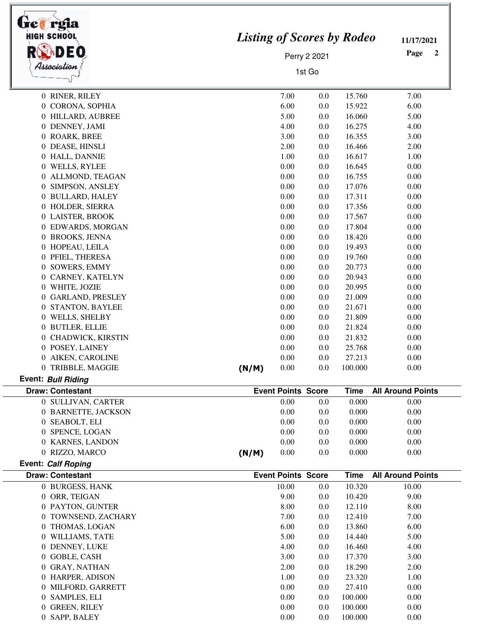| <b>HIGH SCHOOL</b><br>Association | <b>Listing of Scores by Rodeo</b><br>Perry 2 2021<br>1st Go |                           |         | 11/17/2021<br>Page<br>2 |                          |
|-----------------------------------|-------------------------------------------------------------|---------------------------|---------|-------------------------|--------------------------|
| 0 RINER, RILEY                    |                                                             | 7.00                      | 0.0     | 15.760                  | 7.00                     |
| 0 CORONA, SOPHIA                  |                                                             | 6.00                      | 0.0     | 15.922                  | 6.00                     |
| 0 HILLARD, AUBREE                 |                                                             | 5.00                      | 0.0     | 16.060                  | 5.00                     |
| 0 DENNEY, JAMI                    |                                                             | 4.00                      | 0.0     | 16.275                  | 4.00                     |
| 0 ROARK, BREE                     |                                                             | 3.00                      | 0.0     | 16.355                  | 3.00                     |
| 0 DEASE, HINSLI                   |                                                             | 2.00                      | 0.0     | 16.466                  | 2.00                     |
| 0 HALL, DANNIE                    |                                                             | 1.00                      | 0.0     | 16.617                  | 1.00                     |
| 0 WELLS, RYLEE                    |                                                             | 0.00                      | 0.0     | 16.645                  | 0.00                     |
| 0 ALLMOND, TEAGAN                 |                                                             | 0.00                      | 0.0     | 16.755                  | 0.00                     |
| 0 SIMPSON, ANSLEY                 |                                                             | 0.00                      | 0.0     | 17.076                  | 0.00                     |
| 0 BULLARD, HALEY                  |                                                             | 0.00                      | 0.0     | 17.311                  | 0.00                     |
| 0 HOLDER, SIERRA                  |                                                             | 0.00                      | 0.0     | 17.356                  | 0.00                     |
| 0 LAISTER, BROOK                  |                                                             | 0.00                      | 0.0     | 17.567                  | 0.00                     |
| 0 EDWARDS, MORGAN                 |                                                             | 0.00                      | 0.0     | 17.804                  | 0.00                     |
| 0 BROOKS, JENNA                   |                                                             | 0.00                      | 0.0     | 18.420                  | 0.00                     |
| 0 HOPEAU, LEILA                   |                                                             | 0.00                      | 0.0     | 19.493                  | 0.00                     |
| 0 PFIEL, THERESA                  |                                                             | 0.00                      | 0.0     | 19.760                  | 0.00                     |
| 0 SOWERS, EMMY                    |                                                             | 0.00                      | 0.0     | 20.773                  | 0.00                     |
| 0 CARNEY, KATELYN                 |                                                             | 0.00                      | 0.0     | 20.943                  | 0.00                     |
| 0 WHITE, JOZIE                    |                                                             | 0.00                      | 0.0     | 20.995                  | 0.00                     |
| 0 GARLAND, PRESLEY                |                                                             | 0.00                      | 0.0     | 21.009                  | 0.00                     |
| 0 STANTON, BAYLEE                 |                                                             | 0.00                      | 0.0     | 21.671                  | 0.00                     |
| 0 WELLS, SHELBY                   |                                                             | 0.00                      | 0.0     | 21.809                  | 0.00                     |
| 0 BUTLER, ELLIE                   |                                                             | 0.00                      | 0.0     | 21.824                  | 0.00                     |
| 0 CHADWICK, KIRSTIN               |                                                             | 0.00                      | 0.0     | 21.832                  | 0.00                     |
| 0 POSEY, LAINEY                   |                                                             | 0.00                      | 0.0     | 25.768                  | 0.00                     |
| 0 AIKEN, CAROLINE                 |                                                             | 0.00                      | 0.0     | 27.213                  | 0.00                     |
| 0 TRIBBLE, MAGGIE                 | (N/M)                                                       | $0.00\,$                  | $0.0\,$ | 100.000                 | 0.00                     |
| Event: Bull Riding                |                                                             |                           |         |                         |                          |
| <b>Draw: Contestant</b>           |                                                             | <b>Event Points Score</b> |         | <b>Time</b>             | <b>All Around Points</b> |
| 0 SULLIVAN, CARTER                |                                                             | 0.00                      | 0.0     | 0.000                   | 0.00                     |
| 0 BARNETTE, JACKSON               |                                                             | 0.00                      | 0.0     | 0.000                   | 0.00                     |
| 0 SEABOLT, ELI                    |                                                             | 0.00                      | 0.0     | 0.000                   | 0.00                     |
| 0 SPENCE, LOGAN                   |                                                             | 0.00                      | 0.0     | 0.000                   | 0.00                     |
| 0 KARNES, LANDON                  |                                                             | 0.00                      | 0.0     | 0.000                   | 0.00                     |
| 0 RIZZO, MARCO                    | (N/M)                                                       | 0.00                      | 0.0     | 0.000                   | 0.00                     |
| Event: Calf Roping                |                                                             |                           |         |                         |                          |
| <b>Draw: Contestant</b>           |                                                             | <b>Event Points Score</b> |         | <b>Time</b>             | <b>All Around Points</b> |
| 0 BURGESS, HANK                   |                                                             | 10.00                     | 0.0     | 10.320                  | 10.00                    |
| 0 ORR, TEIGAN                     |                                                             | 9.00                      | 0.0     | 10.420                  | 9.00                     |
| 0 PAYTON, GUNTER                  |                                                             | 8.00                      | 0.0     | 12.110                  | 8.00                     |
| 0 TOWNSEND, ZACHARY               |                                                             | 7.00                      | 0.0     | 12.410                  | 7.00                     |
| 0 THOMAS, LOGAN                   |                                                             | 6.00                      | 0.0     | 13.860                  | 6.00                     |
| 0 WILLIAMS, TATE                  |                                                             | 5.00                      | 0.0     | 14.440                  | 5.00                     |
| 0 DENNEY, LUKE                    |                                                             | 4.00                      | 0.0     | 16.460                  | 4.00                     |
| 0 GOBLE, CASH                     |                                                             | 3.00                      | 0.0     | 17.370                  | 3.00                     |
| 0 GRAY, NATHAN                    |                                                             | 2.00                      | 0.0     | 18.290                  | 2.00                     |
| 0 HARPER, ADISON                  |                                                             | 1.00                      | 0.0     | 23.320                  | 1.00                     |
| 0 MILFORD, GARRETT                |                                                             | 0.00                      | 0.0     | 27.410                  | 0.00                     |
| 0 SAMPLES, ELI                    |                                                             | 0.00                      | 0.0     | 100.000                 | 0.00                     |
| 0 GREEN, RILEY                    |                                                             | 0.00                      | 0.0     | 100.000                 | 0.00                     |
| 0 SAPP, BALEY                     |                                                             | 0.00                      | 0.0     | 100.000                 | 0.00                     |

٣I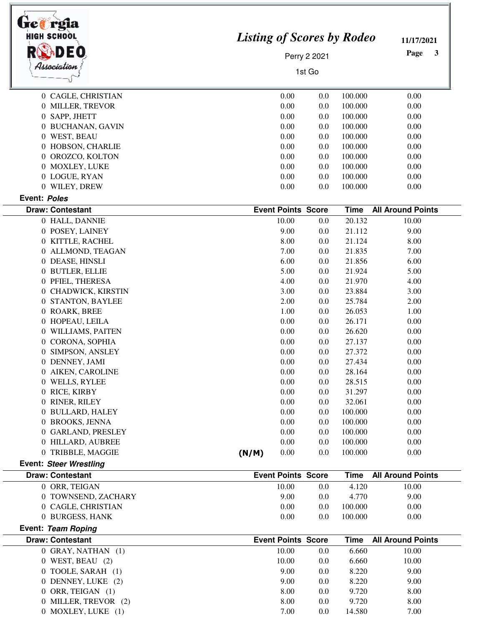| <b>HIGH SCHOOL</b><br><b>ADEO</b>             |                           | <b>Listing of Scores by Rodeo</b><br>Perry 2 2021 |             |                          |  |
|-----------------------------------------------|---------------------------|---------------------------------------------------|-------------|--------------------------|--|
|                                               |                           |                                                   |             |                          |  |
| Association                                   |                           | 1st Go                                            |             |                          |  |
|                                               |                           |                                                   |             |                          |  |
| 0 CAGLE, CHRISTIAN                            | 0.00                      | 0.0                                               | 100.000     | 0.00                     |  |
| 0 MILLER, TREVOR                              | 0.00                      | 0.0                                               | 100.000     | 0.00                     |  |
| 0 SAPP, JHETT                                 | 0.00                      | 0.0                                               | 100.000     | 0.00                     |  |
| 0 BUCHANAN, GAVIN                             | 0.00                      | 0.0                                               | 100.000     | 0.00                     |  |
| 0 WEST, BEAU                                  | 0.00                      | 0.0                                               | 100.000     | 0.00                     |  |
| 0 HOBSON, CHARLIE                             | 0.00                      | 0.0                                               | 100.000     | 0.00                     |  |
| OROZCO, KOLTON<br>$\overline{0}$              | 0.00                      | 0.0                                               | 100.000     | 0.00                     |  |
| 0 MOXLEY, LUKE                                | 0.00                      | 0.0                                               | 100.000     | 0.00                     |  |
| 0 LOGUE, RYAN                                 | 0.00                      | 0.0                                               | 100.000     | 0.00                     |  |
| 0 WILEY, DREW                                 | 0.00                      | 0.0                                               | 100.000     | 0.00                     |  |
| Event: Poles                                  |                           |                                                   |             |                          |  |
| <b>Draw: Contestant</b>                       | <b>Event Points Score</b> |                                                   | <b>Time</b> | <b>All Around Points</b> |  |
| 0 HALL, DANNIE                                | 10.00                     | 0.0                                               | 20.132      | 10.00                    |  |
| 0 POSEY, LAINEY                               | 9.00                      | 0.0                                               | 21.112      | 9.00                     |  |
| 0 KITTLE, RACHEL                              | 8.00                      | 0.0                                               | 21.124      | 8.00                     |  |
| 0 ALLMOND, TEAGAN                             | 7.00                      | 0.0                                               | 21.835      | 7.00                     |  |
| 0 DEASE, HINSLI                               | 6.00                      | 0.0                                               | 21.856      | 6.00                     |  |
| 0 BUTLER, ELLIE                               | 5.00                      | 0.0                                               | 21.924      | 5.00                     |  |
| 0 PFIEL, THERESA                              | 4.00                      | 0.0                                               | 21.970      | 4.00                     |  |
| 0 CHADWICK, KIRSTIN                           | 3.00                      | 0.0                                               | 23.884      | 3.00                     |  |
| 0 STANTON, BAYLEE                             | 2.00                      | 0.0                                               | 25.784      | 2.00                     |  |
| 0 ROARK, BREE                                 | 1.00                      | 0.0                                               | 26.053      | 1.00                     |  |
| 0 HOPEAU, LEILA                               | 0.00                      | 0.0                                               | 26.171      | 0.00                     |  |
| 0 WILLIAMS, PAITEN                            | 0.00                      | 0.0                                               | 26.620      | 0.00                     |  |
| CORONA, SOPHIA<br>$\overline{0}$              | 0.00                      | 0.0                                               | 27.137      | 0.00                     |  |
| 0 SIMPSON, ANSLEY                             | 0.00                      | 0.0                                               | 27.372      | 0.00                     |  |
| 0 DENNEY, JAMI                                | 0.00                      | 0.0                                               | 27.434      | 0.00                     |  |
| 0 AIKEN, CAROLINE                             | $0.00\,$                  | 0.0                                               | 28.164      | 0.00                     |  |
| 0 WELLS, RYLEE                                | 0.00                      | 0.0                                               | 28.515      | 0.00                     |  |
| 0 RICE, KIRBY                                 | 0.00                      | 0.0                                               | 31.297      | 0.00                     |  |
| 0 RINER, RILEY                                | 0.00                      | 0.0                                               | 32.061      | 0.00                     |  |
| 0 BULLARD, HALEY                              | 0.00                      | 0.0                                               | 100.000     | 0.00                     |  |
| 0 BROOKS, JENNA                               | 0.00                      | 0.0                                               | 100.000     | 0.00                     |  |
| 0 GARLAND, PRESLEY                            | 0.00                      | 0.0                                               | 100.000     | 0.00                     |  |
| 0 HILLARD, AUBREE                             | 0.00                      | 0.0                                               | 100.000     | 0.00                     |  |
| 0 TRIBBLE, MAGGIE                             | 0.00<br>(N/M)             | 0.0                                               | 100.000     | 0.00                     |  |
| <b>Event: Steer Wrestling</b>                 |                           |                                                   |             |                          |  |
| <b>Draw: Contestant</b>                       | <b>Event Points Score</b> |                                                   | <b>Time</b> | <b>All Around Points</b> |  |
| 0 ORR, TEIGAN                                 | 10.00                     | 0.0                                               | 4.120       | 10.00                    |  |
| 0 TOWNSEND, ZACHARY                           | 9.00                      | 0.0                                               | 4.770       | 9.00                     |  |
| 0 CAGLE, CHRISTIAN                            | 0.00                      | 0.0                                               | 100.000     | 0.00                     |  |
| 0 BURGESS, HANK                               | 0.00                      | 0.0                                               | 100.000     | 0.00                     |  |
| Event: Team Roping<br><b>Draw: Contestant</b> | <b>Event Points Score</b> |                                                   | <b>Time</b> | <b>All Around Points</b> |  |
| 0 GRAY, NATHAN (1)                            | 10.00                     | 0.0                                               | 6.660       | 10.00                    |  |
| 0 WEST, BEAU (2)                              | 10.00                     |                                                   | 6.660       | 10.00                    |  |
|                                               |                           | 0.0                                               |             |                          |  |
| 0 TOOLE, SARAH (1)                            | 9.00                      | 0.0                                               | 8.220       | 9.00                     |  |
| 0 DENNEY, LUKE (2)                            | 9.00                      | 0.0                                               | 8.220       | 9.00                     |  |
| 0 ORR, TEIGAN (1)                             | 8.00                      | 0.0                                               | 9.720       | 8.00                     |  |
| 0 MILLER, TREVOR (2)                          | 8.00                      | 0.0                                               | 9.720       | 8.00                     |  |
| 0 MOXLEY, LUKE (1)                            | 7.00                      | 0.0                                               | 14.580      | 7.00                     |  |

 $\overline{\phantom{0}}$